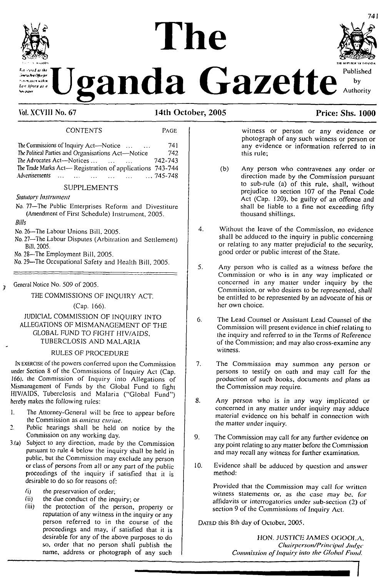# The



**Example Gazette** *by*  $\mathbf{W}$  **Lette Additional Authority** 

#### **Vol. XCVIII No. 67 14th October, 2005 Price: Shs. 1000**

#### CONTENTS Page

The Commissions ofInquiry Act-—Notice............... <sup>741</sup> The Political Parties and Organisations Act—Notice 742<br>The Advocates Act—Notices The Advocates Act—Notices.......................... 742-743 The Trade Marks Act— Registration of applications 743-744<br>Advertisements ... ... ... ... ... ... ... 745-748 Advertisements ............................................................ 745-748

#### SUPPLEMENTS

*Statutory Instrument*

- No. 77—The Public Enterprises Reform and Divestiture (Amendment of First Schedule) Instrument, 2005.
- *Bills*

 $\overline{z}$ 

- No. 26—The Labour Unions Bill, 2005.
- No. 27—The Labour Disputes (Arbitration and Settlement) Bill, 2005.
- No. 28—The Employment Bill, 2005.

No. 29—The Occupational Safety and Health Bill, 2005.

General Notice No. 509 of 2005.

THE COMMISSIONS OF INQUIRY ACT.

(Cap. 166).

#### JUDICIAL COMMISSION OF INQUIRY INTO ALLEGATIONS OF MISMANAGEMENT OF THE GLOBAL FUND TO FIGHT HIV/AIDS, TUBERCLOSIS AND MALARIA

#### RULES OF PROCEDURE

IN EXERCISE of the powers conferred upon the Commission under Section 8 of the Commissions of Inquiry Act (Cap. 166). the Commission of Inquiry into Allegations of Mismanagement of Funds by the Global Fund to fight HIV/AIDS, Tubcrclosis and Malaria ("Global Fund") hereby makes the following rules:

- 1. The Attorney-General will be free to appear before the Commission as *amicus curiae.*
- 2. Public hearings shall be held on notice by the Commission on any working day.
- 3(a) Subject to any direction, made by the Commission pursuant to rule 4 below the inquiry shall be held in public, but the Commission may exclude any person or class of persons from all or any part of the public proceedings of the inquiry if satisfied that it is desirable to do so for reasons of:
	- *(i)* the preservation of order;<br>*(ii)* the due conduct of the inc
	- (ii) the due conduct of the inquiry; or  $(iii)$  the protection of the person.
	- the protection of the person, property or reputation of any witness in the inquiry or any person referred to in the course of the proceedings and may, if satisfied that it is desirable for any of the above purposes to do so, order that no person shall publish the name, address or photograph of any such

witness or person or any evidence or photograph of any such witness or person or any evidence or information referred to in this rule;

- (b) Any person who contravenes any order or direction made by the Commission pursuant to sub-rule (a) of this rule, shall, without prejudice to section 107 of the Penal Code Act (Cap. 120), be guilty of an offence and shall be liable to a fine not exceeding fifty thousand shillings.
- 4. Without the leave of the Commission, no evidence shall be adduced to the inquiry in public concerning or relating to any matter prejudicial to the security, good order or public interest of the State.
- 5. Any person who is called as a witness before the Commission or who is in any way implicated or concerned in any matter under inquiry by the Commission, or who desires to be represented, shall be entitled to be represented by an advocate of his or her own choice.
- 6. The Lead Counsel or Assistant Lead Counsel of the Commission will present evidence in chief relating to the inquiry and referred to in the Terms *ofReference of the* Commission; and may also cross-examine any witness.
- 7. The Commission may summon any person or persons to testify on oath and may call for the production of such books, *documents and plans* as the Commission may require.
- 8. Any person who is in any way implicated or concerned in any matter under inquiry may adduce material evidence on his behalf in connection with the matter under inquiry.
- 9. The Commission may call for any further evidence on any point relating to any matter before the Commission and may recall any witness for further examination.
- 10. Evidence shall be adduced by question and answer method:

Provided that the Commission may call for written witness statements or, as *the case* may be. *for* affidavits or interrogatories under sub-section (2) of section 9 of the Commissions of Inquiry Act.

DATED this 8th day of October, 2005.

HON. *JUSTICE JAMES* OGOOLA. *Chairpcrson/Principat Judge Commission ofInquiry into the Global Fund.*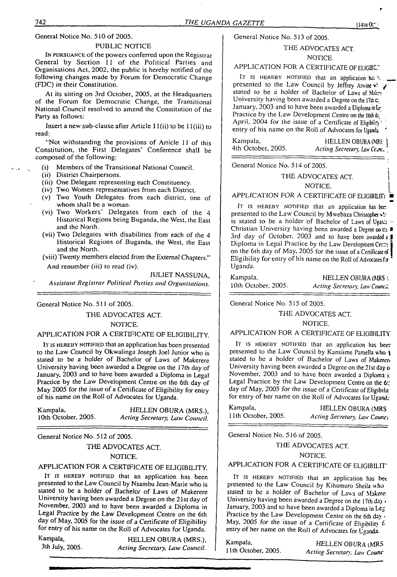General Notice No. 510 of 2005.

#### PUBLIC NOTICE

IN PURSUANCE of the powers conferred upon the Registrar General by Section <sup>11</sup> of the Political Parties and Organisations Act, 2002, the public is hereby notified of the following changes made by Forum for Democratic Change (FDC) in their Constitution.

At its sitting on 3rd October, 2005, at the Headquarters of the Forum for Democratic Change, the Transitional National Council resolved to amend the Constitution of the Party as follows:

Insert a new sub-clause after Article 11 (ii) to be <sup>1</sup> l(iii) to read:

"Not withstanding the provisions of Article <sup>11</sup> of this Constitution, the First Delegates' Conference shall be composed of the following:

- (i) Members of the Transitional National Council.
- (ii) District Chairpersons.
- (iii) One Delegate representing each Constituency.
- (iv) Two Women representatives from each District.
- (v) Two Youth Delegates from each district, one of whom shall be a woman.
- (vi) Two Workers' Delegates from each of the 4 Historical Regions being Buganda, the West, the East and the North.
- (vii) Two Delegates with disabilities from each of the 4 Historical Regions of Buganda, the West, the East and the North.

(viii) Twenty members elected from the External Chapters." And renumber (iii) to read (iv).

JULIET NASSUNA,

*Assistant Registrar Political Parties and Organisations.*

General Notice No. 511 of 2005.

#### THE ADVOCATES ACT.

#### NOTICE.

#### APPLICATION FOR A CERTIFICATE OF ELIGIBILITY.

IT IS HEREBY NOTIFIED that an application has been presented to the Law Council by Okwalinga Joseph Joel Junior who is stated to be a holder of Bachelor of Laws of Makerere University having been awarded a Degree on the 17th day of January, 2003 and to have been awarded a Diploma in Legal Practice by the Law Development Centre on the 6th day of May 2005 for the issue of a Certificate of Eligibility for entry of his name on the Roll of Advocates for Uganda.

| Kampala,            | HELLEN OBURA (MRS.),           |
|---------------------|--------------------------------|
| 10th October, 2005. | Acting Secretary, Law Council. |

General Notice No. 512 of 2005.

## THE ADVOCATES ACT. NOTICE.

#### APPLICATION FOR A CERTIFICATE OF ELIGIBILITY.

IT IS HEREBY NOTIFIED that an application has been presented to the Law Council by Nsambu Jean-Marie who is stated to be a holder of Bachelor of Laws of Makerere University having been awarded a Degree on the 21st day of November, 2003 and to have been awarded a Diploma in Legal *Practice by the Law Development* Centre on the 6th day of May, 2005 for the issue of a Certificate of Eligibility for entry of his name on the Roll of Advocates for Uganda.

Kampala, HELLEN OBURA (MRS.), 3th July, 2005. *Acting Secretary, Law Council.* General Notice No. 513 of 2005.

#### THE ADVOCATES ACT. NOTICE.

#### APPLICATION FOR A CERTIFICATE OF ELIGEL"

It is HEREBY NOTIFIED that an application has  $\frac{1}{2}$ . presented to the Law Council by Jeffrey Atwine \*\* stated to be a holder of Bachelor of Laws of Mar-University having been awarded a Degree on the 17th  $C$ January, 2003 and to have been awarded a Diploma in Le Practice by the Law Development Centre on the 16th da April, 2004 for the issue of a Certificate of Eligibility entry of his name on the Roll of Advocates for Uganda

| Kampala,           | HELLEN OBURA (MRS )         |
|--------------------|-----------------------------|
| 4th October, 2005. | Acting Secretary, Law Corr. |

General Notice No. 514 of 2005.

#### THE ADVOCATES ACT. NOTICE.

APPLICATION FOR A CERTIFICATE OF ELIGIBLITI  $\overline{\phantom{a}}$ 

IT IS HEREBY NOTIFIED that an application has been presented to the Law Council by Mwebaza Christopher \*\* is stated to be a holder of Bachelor of Laws of Uganizi Christian University having been awarded a Degree on re ■ 3rd day of October, 2003 and to have been awarded *i* Diploma in Legal Practice by the Law Development Cer.": on the 6th day of May, 2005 for the issue of a Certificate  $\sigma$ Eligibility for entry of his name on the Roll of Advocates  $fx$ Uganda.

| Kampala,            | HELLEN OBURA (MRS)            |
|---------------------|-------------------------------|
| 10th October, 2005. | Acting Secretary, Law Council |

General Notice No. 515 of 2005.

#### THE ADVOCATES ACT.

#### NOTICE.

#### APPLICATION FOR A CERTIFICATE OF ELIGIBILITY

IT IS HEREBY NOTIFIED that an application has been presented to the Law Council by Kansiime Pamella who  $\uparrow$ stated to be a holder of Bachelor of Laws of Makeren University having been awarded a Degree on the 21st day of November, 2003 and to have been awarded a Diploma i: Legal Practice by the Law Development Centre on the 6<sup>-1</sup> day of May, 2005 for the issue of a Certificate of Eligibilit for entry of her name on the Roll of Advocates for Ugand:

| Kampala,            | HELLEN OBURA (MRS            |
|---------------------|------------------------------|
| 11th October, 2005. | Acting Secretary, Law Counci |

General Notice No. 516 of 2005.

#### THE ADVOCATES ACT.

#### NOTICE.

## APPLICATION FOR A CERTIFICATE OF ELIGIBILIT'

IT is HEREBY NOTIFIED that an application has bee presented to the Law Council by Kihumuro Sheila who stated to be a holder of Bachelor of Laws of Makere University having been awarded a Degree on the 17th day \* January, 2003 and to have been awarded a Diploma in Leg Practice by the Law Development Centre on the 6th day'. May, 2005 for the issue of a Certificate of Eligibility  $f_1$ entry of her name on the Roll of Advocates for Uganda-

Kampala, HELLEN OBURA (MRS)<br>11th October, 2005. Active Secretary Law Counc 11th October, 2005. *Acting Secretary. Law Counc* **In the contract of the contract of the contract of the contract of the contract of the contract of the contract of the contract of the contract of the contract of the contract of the contract of the contract of the contra**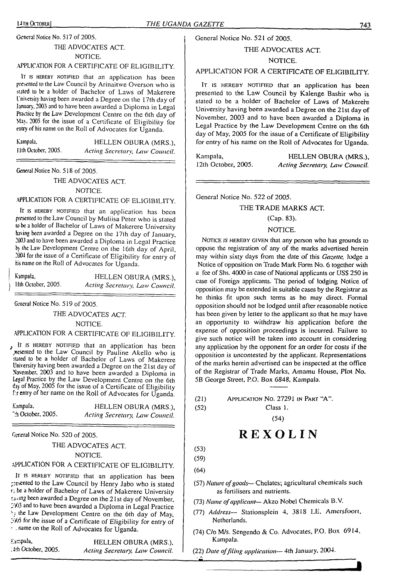General Notice No. 517 of 2005.

#### THE ADVOCATES ACT. NOTICE.

#### .APPLICATION FOR A CERTIFICATE OF ELIGIBILITY.

It is hereby notified that an application has been presented to the Law Council by Arinaitwe Overson who is stated to be a holder of Bachelor of Laws of Makerere University having been awarded a Degree on the 17th day of January. 2003 and to have been awarded a Diploma in Legal Practice by the Law Development Centre on the 6th day of May. 2005 for the issue of a Certificate of Eligibility for entry of his name on the Roll of Advocates for Uganda.

Kampala, HELLEN OBURA (MRS.), Ilth October, 2005. *Acting Secretary, Law Council.*

General Notice No. 518 of 2005.

#### THE ADVOCATES ACT.

#### NOTICE.

#### APPLICATION FOR A CERTIFICATE OF ELIGIBILITY.

It is HEREBY NOTIFIED that an application has been presented to the Law Council by Muliisa Peter who is stated to be <sup>a</sup> holder of Bachelor of Laws of Makerere University having been awarded a Degree on the 17th day of January, <sup>2003</sup> and to have been awarded a Diploma in Legal Practice h the Law Development Centre on the 16th day of April, <sup>2004</sup> for the issue of a Certificate of Eligibility for entry of his name on the Roll of Advocates for Uganda.

| Kampala,            | HELLEN OBURA (MRS.),           |
|---------------------|--------------------------------|
| IIth October, 2005. | Acting Secretary, Law Council. |

General Notice No. 519 of 2005.

#### THE ADVOCATES ACT.

NOTICE.

## .APPLICATION FOR A CERTIFICATE OF ELIGIBILITY.

It is HEREBY NOTIFIED that an application has been xesented to the Law Council by Pauline Akello who is suted to be a holder of Bachelor of Laws of Makerere University having been awarded a Degree on the 21st day of November, 2003 and to have been awarded a Diploma in Legal Practice by the Law Development Centre on the 6th day of May, 2005 for the issue of a Certificate of Eligibility f:r entry of her name on the Roll of Advocates for Uganda.

| Kampala,                      | HELLEN OBURA (MRS.).           |
|-------------------------------|--------------------------------|
| $\tilde{ }$ :h October, 2005. | Acting Secretary, Law Council. |

General Notice No. 520 of 2005.

THE ADVOCATES ACT

NOTICE.

## APPLICATION FOR A CERTIFICATE OF ELIGIBILITY.

It is HEREBY NOTIFIED that an application has been presented to the Law Council by Henry Jabo who is stated t; be <sup>a</sup> holder of Bachelor of Laws of Makerere University r.ijng been awarded a Degree on the 2<sup>1</sup> st day of November, -7)3 and to have been awarded a Diploma in Legal Practice '? the Law Development Centre on the 6th day of May, ;-Z/5 for the issue of a Certificate of Eligibility for entry of ' . name on the Roll of Advocates for Uganda.

Kampala, HELLEN OBURA (MRS.), *.4th October, 2005. Acting Secretary, Law Council.* General Notice No. 521 of 2005.

#### THE ADVOCATES ACT.

#### NOTICE.

#### APPLICATION FOR A CERTIFICATE OF ELIGIBILITY.

IT IS HEREBY NOTIFIED that an application has been presented to the Law Council by Kalenge Bashir who is stated to be a holder of Bachelor of Laws of Makerere University having been awarded a Degree on the 21st day of November, 2003 and to have been awarded a Diploma in Legal Practice by the Law Development Centre on the 6th day of May, 2005 for the issue of a Certificate of Eligibility for entry of his name on the Roll of Advocates for Uganda.

Kampala, **HELLEN OBURA (MRS.),**<br>12th October, 2005. Acting Secretary, Law Council. 12th October, 2005. *Acting Secretary, Law Council.*

General Notice No. 522 of 2005.

#### THE TRADE MARKS ACT.

#### (Cap. 83).

#### NOTICE.

NOTICE IS HEREBY GIVEN that any person who has grounds to oppose the registration of any of the marks advertised herein may within sixty days from (he date of this *Gazette,* lodge a Notice of opposition on Trade Mark Form No. 6 together with a fee of Shs. 4000 in case of National applicants or US\$ 250 in case of Foreign applicants. The period of lodging Notice of opposition may be extended in suitable cases by the Registrar as he thinks fit upon such terms as he may direct. Formal opposition should not be lodged until after reasonable notice has been given by letter to the applicant so that he may have an opportunity to withdraw his application before the expense of opposition proceedings is incurred. Failure to give such notice will be taken into account in considering any application by the opponent for an order for costs if the opposition is uncontested by the applicant. Representations of the marks herein advertised can be inspected at the office of the Registrar of Trade Marks, Amamu House, Plot No. 5B George Street, P.O. Box 6848, Kampala.

| (21) | APPLICATION NO. 27291 IN PART "A". |
|------|------------------------------------|
| (52) | Class 1.                           |

# **REXOLIN**

(54)

(53)

(59) (64)

- (57) *Nature ofgoods—* Chelates; agricultural chemicals such as fertilisers and nutrients.
- (73) *Name ofapplicant* Akzo Nobel Chemicals B.V.
- (77) *Address—* Stationsplcin 4, 3818 LE, Aniersfoort, Netherlands.
- (74) C/o M/s. Sengendo & Co. Advocates, P.O. Box 6914, Kampala.
- (22) *Date offiling application—* 4th January, 2004.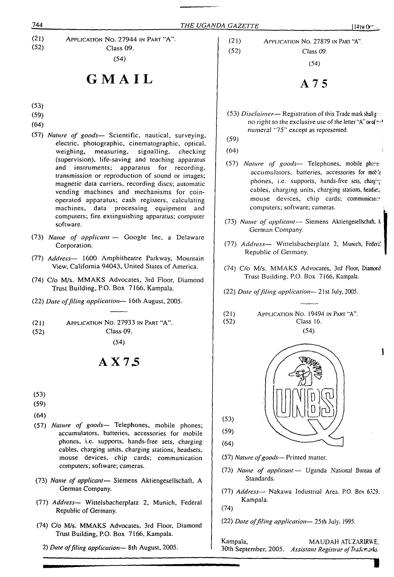$\mathbf{I}$ 

(21) (52) Application No. 27944 in Part ''A". Class 09.

(54)

# **GMAIL**

- (53)
- (59)
- (64)
- (57) *Nature of goods—* Scientific, nautical, surveying, electric, photographic, cinematographic, optical, weighing, measuring, signalling, checking measuring, signalling, checking (supervision), life-saving and teaching apparatus and instruments; apparatus for recording, transmission or reproduction of sound or images; magnetic data carriers, recording discs; automatic vending machines and mechanisms for coinoperated apparatus; cash registers, calculating machines, data processing equipment and computers; fire extinguishing apparatus; computer software.
- (73) *Name of applicant —* Google Inc, a Delaware Corporation.
- (77) *Address—* 1600 Amphitheatre Parkway, Mountain View, California 94043, United States of America.
- (74) C/o M/s. MMAKS Advocates, 3rd Floor, Diamond Trust Building, P.O. Box 7166, Kampala.
- (22) *Date offiling application—* 16th August, 2005.
- (21) Application No. 27933 in Part "A".
- (52) Class 09.

(54)

# **AX75**

(53)

(59)

- (64)
- (57) *Nature of goods—* Telephones, mobile phones; accumulators, batteries, accessories for mobile phones, i.e. supports, hands-free sets, charging cables, charging units, charging stations, headsets, mouse devices, chip cards; communication computers; software; cameras.
- (73) *Name of applicant—* Siemens Aktiengeselischaft, A German Company.
- (77) *Address—* Wittelsbacherplatz 2, Munich, Federal Republic of Germany.
- (74) C/o M/s. MMAKS Advocates, 3rd Floor, Diamond Trust Building, P.O. Box 7166, Kampala.
	- 2) *Date offiling application—* 8th August, 2005.

(21) Application No. 27879 in Part "A". (52) Class 09.

(54)

**A75**

- (53) *Disclaimer* Registration of this Trade mark shall g: no right to the exclusive use of the letter "A" or of  $\mathbb{R}^1$ . numeral "75" except as represented.
- (59)

(64)

- (57) *Nature of goods—* Telephones, mobile pher^ accumulators, batteries, accessories for moble phones, i.e. supports, hands-free sets, charging cables, charging units, charging stations, headers, mouse devices, chip cards; communication computers; software; cameras.
- (73) *Name of applicant—* Siemens Aktiengeselischaft. <sup>A</sup> German Company.
- (77) *Address—* Wittelsbacherplatz 2, Munich, Federi! Republic of Germany.
- (74) C/o M/s. MMAKS Advocates, 3rd Floor, Diamord Trust Building. P.O. Box 7166, Kampala.
- (22) *Date offiling application—* 21st July, 2005.
- (21) Application No. 19494 in Part "A". (52) Class 16.  $(54)$



(57) *Nature ofgoods—* Printed matter.

- (73) *Name of applicant—* Uganda National Bureau of Standards.
- (77) *Address—* Nakawa Industrial Area. P.O. Box 6329. Kampala.

(74)

(22) *Date offiling application—* 25th July. <sup>1</sup>*995.*

Kampala, MAUDAH ATL'ZARIRWE, 30th September, 2005. *Assistant Registrar ofTraderr.^rks.*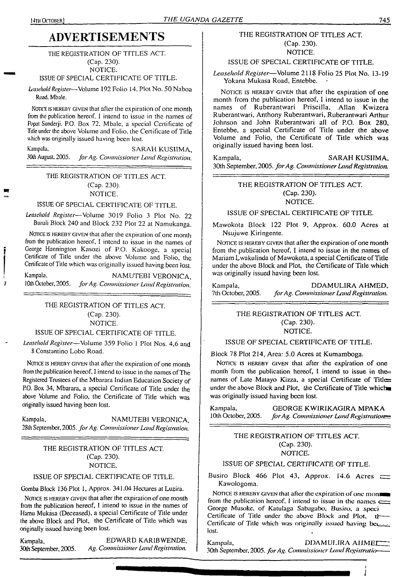7

# **ADVERTISEMENTS**

#### THE REGISTRATION OF TITLES ACT. (Cap. 230).

NOTICE.

ISSUE OF SPECIAL CERTIFICATE OF TITLE.

*Leasehold Register*—Volume 192 Folio 14. Plot No. 50 Naboa Road. Mbale.

Notice is hereby given that after the expiration of one month from the publication hereof. I intend to issue in the names of Popat Sunderji. P.O. Box 72. Mbale, a special Certificate of Title under the above Volume and Folio, the Certificate of Title which was originally issued having been lost.

Kampala, SARAH KUSIIMA, SARAH KUSIIMA, SOch August, 2005. for Ag. Commissioner Land Registration 30th August. 2005. *forAg. Commissioner Land Registration.*

#### THE REGISTRATION OF TITLES ACT. (Cap. 230). NOTICE.

#### ISSUE OF SPECIAL CERTIFICATE OF TITLE.

*Leasehold Register*—Volume 3019 Folio 3 Plot No. 22 Buruli Block 240 and Block 232 Plot 22 at Namukanga.

NOTICE IS HEREBY GIVEN that after the expiration of one month from the publication hereof, I intend to issue in the names of George Hannington Kasozi of P.O. Kakooge, a special Certificate of Title under the above Volume and Folio, the Certificate of Title which was originally issued having been lost.

Kampala, NAMUTEBI VERONICA, NAMUTEBI VERONICA, 10th October, 2005. for Ag. Commissioner Land Registration 10th October, 2005. *forAg. Commissioner LandRegistration.*

#### THE REGISTRATION OF TITLES ACT. (Cap. 230). NOTICE.

#### ISSUE OF SPECIAL CERTIFICATE OF TITLE.

*Leasehold Register*—Volume 359 Folio <sup>1</sup> Plot Nos. 4,6 and 8 Constantino Lobo Road.

NOTICE IS HEREBY GIVEN that after the expiration of one month from the publication hereof, I intend to issue in the names of The Registered Trustees of the Mbarara Indian Education Society of P.O. Box 34, Mbarara, a special Certificate of Title under the above Volume and Folio, the Certificate of Title which was originally issued having been lost.

Kampala, NAMUTEBI VERONICA, 28th September, 2005. *forAg. CommissionerLandRegistration.*

#### THE REGISTRATION OF TITLES ACT. (Cap. 230). NOTICE.

#### ISSUE OF SPECIAL CERTIFICATE OF TITLE.

Gomba Block 136 Plot 1, Approx. 341.04 Hectares at Luzira.

NOTICE IS HEREBY GIVEN that after the expiration of one month from the publication hereof, I intend to issue in the names of Hamu Mukasa (Deceased), a special Certificate of Title under the above Block and Plot, the Certificate of Title which was originally issued having been lost.

Kampala, EDWARD KARIBWENDE, 30th September, 2005. *Ag. CommissionerLandRegistration.*

#### THE REGISTRATION OF TITLES ACT. (Cap. 230). NOTICE.

#### ISSUE OF SPECIAL CERTIFICATE OF TITLE.

*Leasehold Register*—Volume 2118 Folio 25 Plot No, 13-19 Yokana Mukasa Road, Entebbe.

NOTICE IS HEREBY GIVEN that after the expiration of one month from the publication hereof, I intend to issue in the names of Ruberantwari Priscilla, Allan Kwizera Ruberantwari, Anthony Ruberantwari, Ruberantwari Arthur Johnson and John Ruberantwari all of P.O. Box 280, Entebbe, a special Certificate of Title under the above Volume and Folio, the Certificate of Title which was originally issued having been lost.

Kampala, SARAH KUSIIMA, 30th September, 2005. *forAg. Commissioner LandRegistration.*

> THE REGISTRATION OF TITLES ACT. (Cap. 230). NOTICE.

#### ISSUE OF SPECIAL CERTIFICATE OF TITLE.

Mawokota Block 122 Plot 9, Approx. 60.0 Acres at Nsujuwe Kiringente.

NOTICE IS HEREBY GIVEN that after the expiration of one month from the publication hereof, I intend to issue in the names of Mariam Lwakulinda of Mawokota, a special Certificate of Title under the above Block and Plot, the Certificate of Title which was originally issued having been lost.

Kampala, DDAMULIRA AHMED,<br>7th October, 2005. for Ag. Commissioner Land Registration. 7th October, 2005. *forAg. CommissionerLandRegistration.*

> THE REGISTRATION OF TITLES ACT. (Cap. 230). NOTICE.

#### ISSUE OF SPECIAL CERTIFICATE OF TITLE.

Block 78 Plot 214, Area: 5.0 Acres at Kumamboga.

NOTICE IS HEREBY GIVEN that after the expiration of one month from the publication hereof, I intend to issue in the $=$ names of Late Matayo Kizza, a special Certificate of Titles under the above Block and Plot, the Certificate of Title which was originally issued having been lost.

Kampala, GEORGE KWIRIKAGIRA MPAKA<br>10th October, 2005. for Ag. Commissioner Land Registration <sup>I</sup>Oth October, 2005. *forAg. Commissioner LandRegistration^*

#### THE REGISTRATION OF TITLES ACT. (Cap. 230). NOTICE.

#### ISSUE OF SPECIAL CERTIFICATE OF TITLE.

Busiro Block 466 Plot 43, Approx. 14.6 Acres  $\equiv$ Kawologoma.

NOTICE IS HEREBY GIVEN that after the expiration of one mon from the publication hereof, I intend to issue in the names  $\equiv$ George Musoke, of Katulaga Sabagabo, Busiro, a spcci Certificate of Title under the above Block and Plot,  $t$ -Certificate of Title which was originally issued having be $\epsilon_{\text{min}}$ lost.

Kampala, DDAMULIRA AHMET 30th September, 2005. *for Ag. Commissioner Land Registratio-*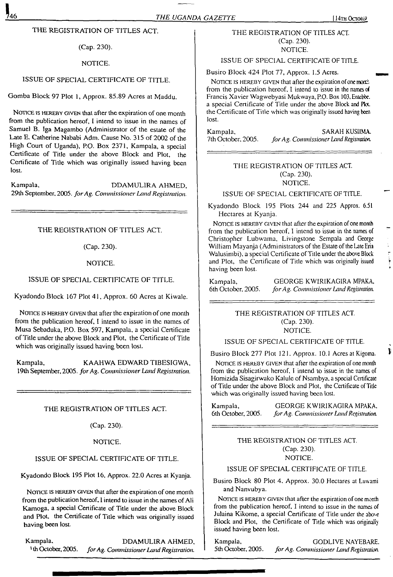#### THE REGISTRATION OF TITLES ACT.

(Cap. 230).

#### NOTICE.

#### ISSUE OF SPECIAL CERTIFICATE OF TITLE.

Gomba Block 97 Plot 1, Approx. 85.89 Acres at Maddu.

NOTICE IS HEREBY GIVEN that after the expiration of one month from the publication hereof, I intend to issue in the names of Samuel B. Iga Magambo (Administrator of the estate of the Late E. Catherine Nababi Adm. Cause No. 315 of 2002 of the High Court of Uganda), P.O. Box 2371, Kampala, a special Certificate of Title under the above Block and Plot, the Certificate of Title which was originally issued having been lost.

Kampala, DDAMULIRA AHMED, 29lh September, 2005. *forAg. Commissioner Land Registration.*

THE REGISTRATION OF TITLES ACT.

(Cap. 230).

#### NOTICE.

#### ISSUE OF SPECIAL CERTIFICATE OF TITLE.

Kyadondo Block 167 Plot 41, Approx. 60 Acres at Kiwale.

NOTICE IS HEREBY GIVEN that after the expiration of one month from the publication hereof, I intend to issue in the names of Musa Sebaduka, P.O. Box 597, Kampala, a special Certificate of Title under the above Block and Plot, the Certificate of Title which was originally issued having been lost.

Kampala, KAAHWA EDWARD TIBESIGWA, <sup>1</sup>9lh September, 2005. *forAg. Commissioner Land Registration.*

#### THE REGISTRATION OF TITLES ACT.

(Cap. 230).

#### NOTICE.

#### ISSUE OF SPECIAL CERTIFICATE OF TITLE.

Kyadondo Block 195 Plot 16, Approx. 22.0 Acres at Kyanja.

NOTICE IS HEREBY GIVEN that after the expiration of one month from the publication hereof, I intend to issue in the names of Ali Kamoga, a special Certificate of Title under the above Block and Plot, the Certificate of Title which was originally issued having been lost.

Kampala, DDAMULIRA AHMED,<br><sup>1</sup>th October, 2005. for Ag. Commissioner Land Registration. <sup>1</sup> th October, 2005. *forAg. CommissionerLandRegistration.*

#### THE REGISTRATION OF TITLES ACT. (Cap. 230). NOTICE.

#### ISSUE OF SPECIAL CERTIFICATE OF TITLE.

Busiro Block 424 Plot 77, Approx. 1.5 Acres.

NOTICE IS HEREBY GIVEN that after the expiration of one morth from the publication hereof, I intend to issue in the names of Francis Xavier Wagwebyasi Mukwaya, P.O. Box 103. Entebbe, a special Certificate of Title under the above Block and Pkt the Certificate of Title which was originally issued having been lost.

Kampala, SARAH KUSIIMA.<br>7th October, 2005. *for Ag. Commissioner Land Registration* 7th October, 2005. *forAg. Commissioner Land Registration.*

#### THE REGISTRATION OF TITLES ACT. (Cap. 230). NOTICE.

#### ISSUE OF SPECIAL CERTIFICATE OF TITLE.

Kyadondo Block 195 Plots 244 and 225 Approx. 6.51 Hectares at Kyanja.

NOTICE IS HEREBY GIVEN that after the expiration of one month from the publication hereof, I intend to issue in the names of Christopher Lubwama, Livingstone Sempala and George William Mayanja (Administrators of the Estate of the Late Eria Walusimbi), a special Certificate of Title under the above Block and Plot, the Certificate of Title which was originally issued having been lost.

Kampala, **GEORGE KWIRIKAGIRA MPAKA,**<br>6th October, 2005. for Ag. Commissioner Land Registration. 6th October. 2005. *forAg. Commissioner Land Registration*

#### THE REGISTRATION OF TITLES ACT (Cap. 230). NOTICE.

#### ISSUE OF SPECIAL CERTIFICATE OF TITLE.

Busiro Block 277 Plot 121. Approx. 10.1 Acres at Kigoma.

NOTICE IS HEREBY GIVEN that after the expiration of one month from the publication hereof, <sup>I</sup> intend to issue in the names of Homizida Sisagirwako Kalulc of Nsambya, a special Certificate of Title under the above Block and Plot, the Certificate of Title which was originally issued having been lost.

Kampala, GEORGE KWIRIKAGIRA MPAKA. 6th October, 2005. *forAg. Commissioner Land Registration.*

#### THE REGISTRATION OF TITLES ACT. (Cap. 230). NOTICE.

#### ISSUE OF SPECIAL CERTIFICATE OF TITLE.

Busiro Block 80 Plot 4. Approx. 30.0 Hectares at Luwami and Nanvubya.

NOTICE IS HEREBY GIVEN that after the expiration of one month from the publication hereof, I intend to issue in the names of Julaina Kikome, a special Certificate of Title under the abo\e Block and Plot, the Certificate of Title which was originally issued having been lost.

Kampala, GODLIVE NAYEBARE.<br>5th October, 2005. for Ag. Commissioner Land Registration. 5th October, 2005. *forAg. Commissioner Land Registration*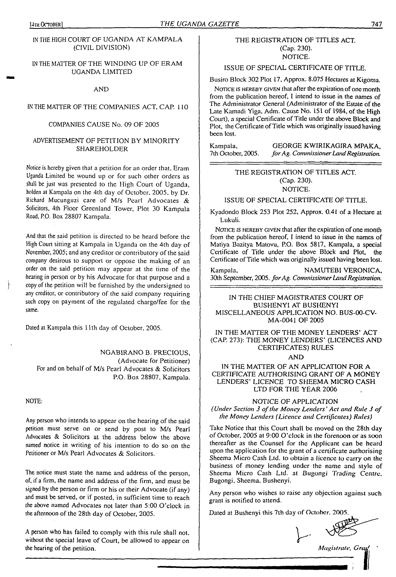#### IN THE HIGH COURT OF UGANDA AT KAMPALA (CIVIL DIVISION)

#### IN THE MATTER OF THE WINDING UP OF ERAM UGANDA LIMITED

AND

#### IN THE MATTER OF THE COMPANIES ACT, CAP. 110

#### COMPANIES CAUSE No. 09 OF 2005

#### ADVERTISEMENT OF PETITION BY MINORITY SHAREHOLDER

Notice is hereby given that a petition for an order that, Eram Uganda Limited be wound up or for such other orders as shall be just was presented to the High Court of Uganda, holden at Kampala on the 4th day of October, 2005, by Dr. Richard Mucunguzi care of M/s Pearl Advocates & Solicitors, 4th Floor Greenland Tower, Plot 30 Kampala Road, P.O. Box 28807 Kampala.

And that the said petition is directed to be heard before the High Court sitting at Kampala in Uganda on the 4th day of November, 2005; and any creditor or contributory of the said company desirous to support or oppose the making of an order on the said petition may appear at the time of the hearing in person or by his Advocate for that purpose and a copy of the petition will be furnished by the undersigned to any creditor, or contributory of the said company requiring such copy on payment of the regulated charge/fee for the same.

Dated at Kampala this 11th day of October, 2005.

NGABIRANO B. PRECIOUS, (Advocate for Petitioner) For and on behalf of M/s Pearl Advocates & Solicitors P.O. Box 28807, Kampala.

NOTE:

Any person who intends to appear on the hearing of the said petition must serve on or send by post to M/s Pearl Advocates & Solicitors at the address below the above named notice in writing of his intention to do so on the Petitioner or M/s Pearl Advocates & Solicitors.

The notice must state the name and address of the person, of, if a firm, the name and address of the firm, and must be signed by the person or firm or his or their Advocate (if any) and must be served, or if posted, in sufficient time to reach the above named Advocates not later than 5:00 O'clock in the afternoon of the 28th day of October, 2005.

A person who has failed to comply with this rule shall not, without the special leave of Court, be allowed to appear on the hearing of the petition. *Magistrate, Grad '*

#### THE REGISTRATION OF TITLES ACT. (Cap. 230). NOTICE.

ISSUE OF SPECIAL CERTIFICATE OF TITLE.

Busiro Block 302 Plot 17, Approx. 8.075 Hectares at Kigoma.

NOTICE IS HEREBY GIVEN that after the expiration of one month from the publication hereof, I intend to issue in the names of The Administrator General (Administrator of the Estate of the Late Kamadi Yiga, Adm. Cause No. 151 of 1984, of the High Court), a special Certificate of Title under the above Block and Plot, the Certificate of Title which was originally issued having been lost.

Kampala, GEORGE KWIRIKAGIRA MPAKA,<br>7th October, 2005. for Ag. Commissioner Land Registration. 7th October, 2005. *forAg. CommissionerLandRegistration.*

#### THE REGISTRATION OF TITLES ACT. (Cap. 230). NOTICE.

ISSUE OF SPECIAL CERTIFICATE OF TITLE.

Kyadondo Block 253 Plot 252, Approx. 0,41 of a Hectare at Lukuli.

NOTICE IS HEREBY GIVEN that after the expiration of one month from the publication hereof, I intend to issue in the names of Matiya Bazitya Matovu, P.O. Box 5817, Kampala, a special Certificate of Title under the above Block and Plot, the Certificate of Title which was originally issued having been lost.

Kampala, NAMUTEBI VERONICA, 30th September, 2005. *forAg. CommissionerLandRegistration.*

IN THE CHIEF MAGISTRATES COURT OF BUSHENYI AT BUSHENYI MISCELLANEOUS APPLICATION NO. BUS-00-CV-MA-0041 OF 2005

IN THE MATTER OF THE MONEY LENDERS' ACT (CAP. 273): THE MONEY LENDERS' (LICENCES AND CERTIFICATES) RULES

AND

IN THE MATTER OF AN APPLICATION FOR A CERTIFICATE AUTHORISING GRANT OF A MONEY LENDERS' LICENCE TO SHEEMA MICRO CASH LTD FOR THE YEAR 2006

#### NOTICE OF APPLICATION *(Under Section 3 ofthe Money Lenders' Act and Ride 3 of the Money Lenders (Licence and Certificates) Rides)*

Take Notice that this Court shall be moved on the 28th day of October, 2005 at 9:00 O'clock in the forenoon or as soon thereafter as the Counsel for the Applicant can be heard upon the application for the grant of a certificate authorising Sheema Micro Cash Ltd. to obtain a licence to carry on the business of money lending under the name and style of Sheema Micro Cash Ltd. at Bugongi *Trading Centre,* Bugongi, Sheema, Bushenyi.

Any person who wishes to raise any objection against such grant is notified to attend.

Dated at Bushenyi this 7lh day of October. 2005.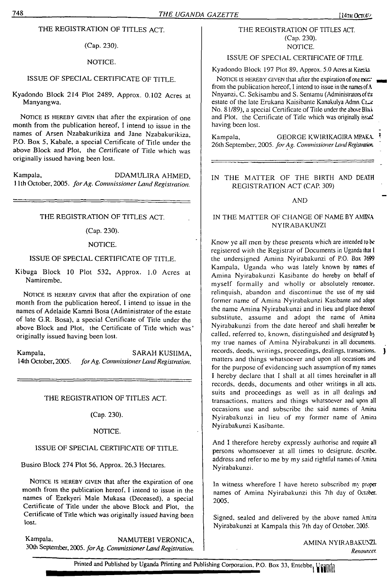THE REGISTRATION OF TITLES ACT.

(Cap. 230).

#### NOTICE.

#### ISSUE OF SPECIAL CERTIFICATE OF TITLE.

Kyadondo Block 214 Plot 2489, Approx. 0.102 Acres at Manyangwa.

NOTICE IS HEREBY GIVEN that after the expiration of one month from the publication hereof, I intend to issue in the names of Arsen Nzabakurikiza and Jane Nzabakurikiza, P.O. Box 5, Kabale, a special Certificate of Title under the above Block and Plot, the Certificate of Title which was originally issued having been lost.

Kampala, DDAMULIRA AHMED, 11th October, 2005. *forAg. Commissioner Land Registration.*

#### THE REGISTRATION OF TITLES ACT.

#### (Cap. 230).

#### NOTICE.

#### ISSUE OF SPECIAL CERTIFICATE OF TITLE.

Kibuga Block 10 Plot 532, Approx. 1.0 Acres at Namirembe.

NOTICE IS HEREBY GIVEN that after the expiration of one month from the publication hereof, I intend to issue in the names of Adelaide Kamni Bosa (Administrator of the estate of late G.R. Bosa), a special Certificate of Title under the above Block and Plot, the Certificate of Title which was' originally issued having been lost.

Kampala, SARAH KUSIIMA, SARAH KUSIIMA, 14th October, 2005. for Ag. Commissioner Land Registration. 14th October, 2005. *forAg. CommissionerLandRegistration.*

THE REGISTRATION OF TITLES ACT.

(Cap. 230).

#### NOTICE.

#### ISSUE OF SPECIAL CERTIFICATE OF TITLE.

Busiro Block 274 Plot 56, Approx. 26.3 Hectares.

NOTICE IS HEREBY GIVEN that after the expiration of one month from the publication hereof. I intend to issue in the names of Ezekyeri Male Mukasa (Deceased), a special Certificate of Title under the above Block and Plot, the Certificate of Title which was originally issued having been lost.

Kampala, NAMUTEBI VERONICA, 30th September, 2005. *forAg. Commissioner Land Registration.*

#### THE REGISTRATION OF TITLES ACT. (Cap. 230). NOTICE.

#### ISSUE OF SPECIAL CERTIFICATE OF TITLE.

Kyadondo Block 197 Plot 89, Approx. 5.0 Acres at Kitetika.

NOTICE IS HEREBY GIVEN that after the expiration of one model from the publication hereof, I intend to issue in the names of A Nnyanzi, C. Sekisambu and S. Sentamu (Administrators of the estate of the late Erukana Kaisibante Kanakulya Admn. Care No. 81/89), a special Certificate of Title under the above Bloi and Plot, the Certificate of Title which was originally isstai having been lost.

Kampala, GEORGE KWIRIKAGIRA MPAKA 26lh September, 2005. *forAg. Commissioner LandRegistration*

#### IN THE MATTER OF THE BIRTH AND DEATH REGISTRATION ACT (CAP. 309)

#### AND

#### IN THE MATTER OF CHANGE OF NAME BY AMINA NYIRABAKUNZI

Know ye all men by these presents which are intended to be registered with the Registrar of Documents in Uganda that <sup>I</sup> the undersigned Amina Nyirabakunzi of P.O. Box 7699 Kampala, Uganda who was lately known by names of Amina Nyirabakunzi Kasibante do hereby on behalf of myself formally and wholly or absolutely renounce, relinquish, abandon and discontinue the use of my said former name of Amina Nyirabakunzi Kasibante and adopt the name Amina Nyirabakunzi and in lieu and place thereof substitute, assume and adopt the name of Amina Nyirabakunzi from the date hereof and shall hereafter be called, referred to, known, distinguished and designated b) my true names of Amina Nyirabakunzi in all documents, records, deeds, writings, proceedings, dealings, transactions. } matters and things whatsoever and upon all occasions and for the purpose of evidencing such assumption of my names I hereby declare that I shall at all times hereinafter in all records, deeds, documents and other writings in all acts, suits and proceedings as well as in all dealings and transactions, matters and things whatsoever and upon all occasions use and subscribe the said names of Amina Nyirabakunzi in lieu of my former name of Amina Nyirabakunzi Kasibante.

And I therefore hereby expressly authorise and require all persons whomsoever at all times to designate, describe, address and refer to me by my said rightful names of Amina Nyirabakunzi.

In witness wherefore I have hereto subscribed my proper names of Amina Nyirabakunzi this 7th day of October. 2005.

Signed, sealed and delivered by the above named Amina Nyirabakunzi at Kampala this 7th day of October. 2005.

> AMINA NYIRABAKUNZI. *Renounces*